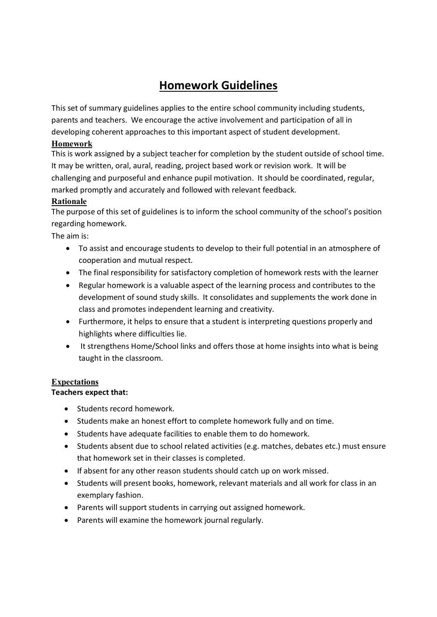# **Homework Guidelines**

This set of summary guidelines applies to the entire school community including students, parents and teachers. We encourage the active involvement and participation of all in developing coherent approaches to this important aspect of student development.

# **Homework**

This is work assigned by a subject teacher for completion by the student outside of school time. It may be written, oral, aural, reading, project based work or revision work. It will be challenging and purposeful and enhance pupil motivation. It should be coordinated, regular, marked promptly and accurately and followed with relevant feedback.

# **Rationale**

The purpose of this set of guidelines is to inform the school community of the school's position regarding homework.

The aim is:

- To assist and encourage students to develop to their full potential in an atmosphere of cooperation and mutual respect.
- The final responsibility for satisfactory completion of homework rests with the learner
- Regular homework is a valuable aspect of the learning process and contributes to the development of sound study skills. It consolidates and supplements the work done in class and promotes independent learning and creativity.
- Furthermore, it helps to ensure that a student is interpreting questions properly and highlights where difficulties lie.
- It strengthens Home/School links and offers those at home insights into what is being taught in the classroom.

# **Expectations**

# **Teachers expect that:**

- Students record homework.
- Students make an honest effort to complete homework fully and on time.
- Students have adequate facilities to enable them to do homework.
- Students absent due to school related activities (e.g. matches, debates etc.) must ensure that homework set in their classes is completed.
- If absent for any other reason students should catch up on work missed.
- Students will present books, homework, relevant materials and all work for class in an exemplary fashion.
- Parents will support students in carrying out assigned homework. exemplary tashion.<br>• Parents will support students in carrying out assigned<br>• Parents will examine the homework journal regularly.
-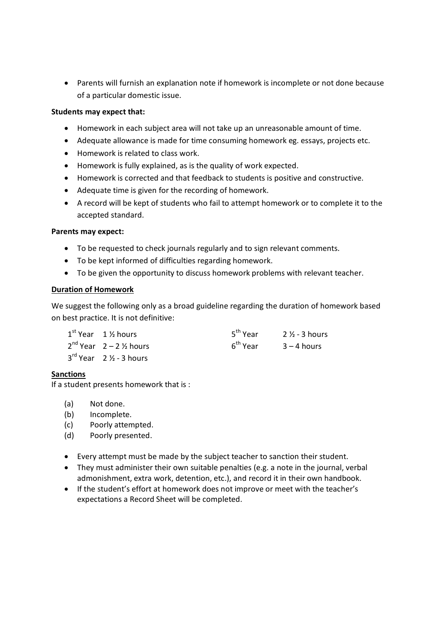Parents will furnish an explanation note if homework is incomplete or not done because of a particular domestic issue.

#### **Students may expect that:**

- Homework in each subject area will not take up an unreasonable amount of time.
- Adequate allowance is made for time consuming homework eg. essays, projects etc.
- Homework is related to class work.
- Homework is fully explained, as is the quality of work expected.
- Homework is corrected and that feedback to students is positive and constructive.
- 
- Adequate time is given for the recording of homework.<br>
 A record will be kept of students who fail to attempt homework or to complete it to the accepted standard.

#### **Parents may expect:**

- To be requested to check journals regularly and to sign relevant comments.
- To be kept informed of difficulties regarding homework.
- To be given the opportunity to discuss homework problems with relevant teacher.

# **Duration of Homework**

We suggest the following only as a broad guideline regarding the duration of homework based on best practice. It is not definitive:

| est practice. It is not definitive: |                                                |                      |                          |
|-------------------------------------|------------------------------------------------|----------------------|--------------------------|
|                                     | $1st$ Year 1 % hours                           | 5 <sup>th</sup> Year | $2\frac{1}{2}$ - 3 hours |
|                                     | $2nd$ Year $2-2\frac{1}{2}$ hours              | 6 <sup>th</sup> Year | $3 - 4$ hours            |
|                                     | $3^{\text{rd}}$ Year 2 $\frac{1}{2}$ - 3 hours |                      |                          |
|                                     |                                                |                      |                          |

#### **Sanctions**

If a student presents homework that is :<br>
(a) Not done.<br>
(b) locamplete

- 
- (a) Not done.<br>(b) Incomplete.<br>(c) Poorly attem
- (a) Not done.<br>(b) Incomplete.<br>(c) Poorly attempted. (b) Incomplete.<br>(c) Poorly attempted.<br>(d) Poorly presented.
- 
- Every attempt must be made by the subject teacher to sanction their student.
- They must administer their own suitable penalties (e.g. a note in the journal, verbal admonishment, extra work, detention, etc.), and record it in their own handbook.
- If the student's effort at homework does not improve or meet with the teacher's expectations a Record Sheet will be completed.